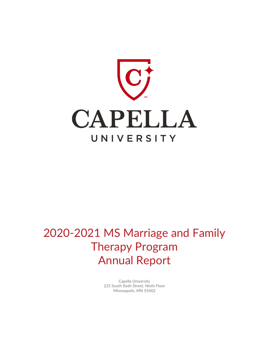

# 2020-2021 MS Marriage and Family Therapy Program Annual Report

Capella University 225 South Sixth Street, Ninth Floor Minneapolis, MN 55402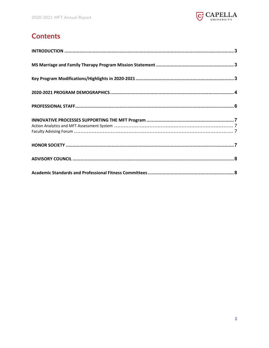

# **Contents**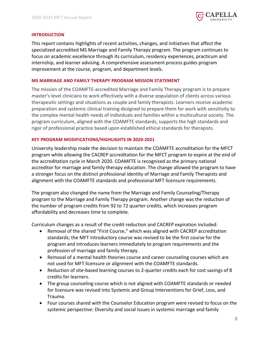

#### <span id="page-2-0"></span>**INTRODUCTION**

This report contains highlights of recent activities, changes, and initiatives that affect the specialized accredited MS Marriage and Family Therapy program. The program continues to focus on academic excellence through its curriculum, residency experiences, practicum and internship, and learner advising. A comprehensive assessment process guides program improvement at the course, program, and department levels.

#### <span id="page-2-1"></span>**MS MARRIAGE AND FAMILY THERAPY PROGRAM MISSION STATEMENT**

The mission of the COAMFTE-accredited Marriage and Family Therapy program is to prepare master's level clinicians to work effectively with a diverse population of clients across various therapeutic settings and situations as couple and family therapists. Learners receive academic preparation and systemic clinical training designed to prepare them for work with sensitivity to the complex mental health needs of individuals and families within a multicultural society. The program curriculum, aligned with the COAMFTE standards, supports the high standards and rigor of professional practice based upon established ethical standards for therapists.

# <span id="page-2-2"></span>**KEY PROGRAM MODIFICATIONS/HIGHLIGHTS IN 2020-2021**

University leadership made the decision to maintain the COAMFTE accreditation for the MFCT program while allowing the CACREP accreditation for the MFCT program to expire at the end of the accreditation cycle in March 2020. COAMFTE is recognized as the primary national accreditor for marriage and family therapy education. The change allowed the program to have a stronger focus on the distinct professional identity of Marriage and Family Therapists and alignment with the COAMFTE standards and professional MFT licensure requirements.

The program also changed the name from the Marriage and Family Counseling/Therapy program to the Marriage and Family Therapy program. Another change was the reduction of the number of program credits from 92 to 72 quarter credits, which increases program affordability and decreases time to complete.

Curriculum changes as a result of the credit reduction and CACREP expiration included:

- Removal of the shared "First Course," which was aligned with CACREP accreditation standards; the MFT introductory course was revised to be the first course for the program and introduces learners immediately to program requirements and the profession of marriage and family therapy.
- Removal of a mental health theories course and career counseling courses which are not used for MFT licensure or alignment with the COAMFTE standards.
- Reduction of site-based learning courses to 2-quarter credits each for cost savings of 8 credits for learners.
- The group counseling course which is not aligned with COAMFTE standards or needed for licensure was revised into Systemic and Group Interventions for Grief, Loss, and Trauma.
- Four courses shared with the Counselor Education program were revised to focus on the systemic perspective: Diversity and social issues in systemic marriage and family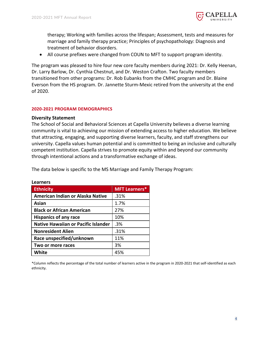

therapy; Working with families across the lifespan; Assessment, tests and measures for marriage and family therapy practice; Principles of psychopathology: Diagnosis and treatment of behavior disorders.

• All course prefixes were changed from COUN to MFT to support program identity.

The program was pleased to hire four new core faculty members during 2021: Dr. Kelly Heenan, Dr. Larry Barlow, Dr. Cynthia Chestnut, and Dr. Weston Crafton. Two faculty members transitioned from other programs: Dr. Rob Eubanks from the CMHC program and Dr. Blaine Everson from the HS program. Dr. Jannette Sturm-Mexic retired from the university at the end of 2020.

#### <span id="page-3-0"></span>**2020-2021 PROGRAM DEMOGRAPHICS**

#### **Diversity Statement**

The School of Social and Behavioral Sciences at Capella University believes a diverse learning community is vital to achieving our mission of extending access to higher education. We believe that attracting, engaging, and supporting diverse learners, faculty, and staff strengthens our university. Capella values human potential and is committed to being an inclusive and culturally competent institution. Capella strives to promote equity within and beyond our community through intentional actions and a transformative exchange of ideas.

The data below is specific to the MS Marriage and Family Therapy Program:

| <b>Ethnicity</b>                           | <b>MFT Learners*</b> |
|--------------------------------------------|----------------------|
| American Indian or Alaska Native           | .31%                 |
| Asian                                      | 1.7%                 |
| <b>Black or African American</b>           | 27%                  |
| <b>Hispanics of any race</b>               | 10%                  |
| <b>Native Hawaiian or Pacific Islander</b> | .3%                  |
| <b>Nonresident Alien</b>                   | .31%                 |
| Race unspecified/unknown                   | 11%                  |
| Two or more races                          | 3%                   |
| <b>White</b>                               | 45%                  |

**Learners**

\*Column reflects the percentage of the total number of learners active in the program in 2020-2021 that self-identified as each ethnicity.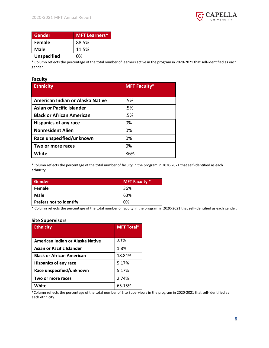

| Gender             | <b>MFT Learners*</b> |
|--------------------|----------------------|
| <b>Female</b>      | 88.5%                |
| <b>Male</b>        | 11.5%                |
| <b>Unspecified</b> | በ%                   |

\* Column reflects the percentage of the total number of learners active in the program in 2020-2021 that self-identified as each gender.

#### **Faculty**

| <b>Ethnicity</b>                 | <b>MFT Faculty*</b> |  |
|----------------------------------|---------------------|--|
|                                  |                     |  |
| American Indian or Alaska Native | .5%                 |  |
| Asian or Pacific Islander        | .5%                 |  |
| <b>Black or African American</b> | .5%                 |  |
| <b>Hispanics of any race</b>     | 0%                  |  |
| <b>Nonresident Alien</b>         | 0%                  |  |
| Race unspecified/unknown         | 0%                  |  |
| Two or more races                | 0%                  |  |
| White                            | 86%                 |  |

\*Column reflects the percentage of the total number of faculty in the program in 2020-2021 that self-identified as each ethnicity.

| <b>Gender</b>                  | <b>MFT Faculty *</b> |
|--------------------------------|----------------------|
| <b>Female</b>                  | 36%                  |
| <b>Male</b>                    | 63%                  |
| <b>Prefers not to identify</b> | 0%                   |

\* Column reflects the percentage of the total number of faculty in the program in 2020-2021 that self-identified as each gender.

#### **Site Supervisors**

| <b>Ethnicity</b>                 | <b>MFT Total*</b> |  |
|----------------------------------|-------------------|--|
|                                  |                   |  |
| American Indian or Alaska Native | .61%              |  |
| <b>Asian or Pacific Islander</b> | 1.8%              |  |
| <b>Black or African American</b> | 18.84%            |  |
| <b>Hispanics of any race</b>     | 5.17%             |  |
| Race unspecified/unknown         | 5.17%             |  |
| Two or more races                | 2.74%             |  |
| White                            | 65.15%            |  |

\*Column reflects the percentage of the total number of Site Supervisors in the program in 2020-2021 that self-identified as each ethnicity.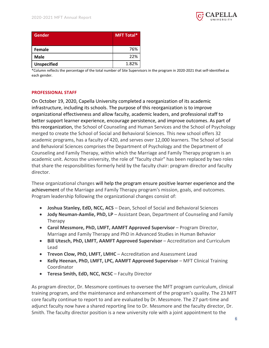

| Gender             | MFT Total* |
|--------------------|------------|
| Female             | 76%        |
| <b>Male</b>        | 22%        |
| <b>Unspecified</b> | 1.82%      |

\*Column reflects the percentage of the total number of Site Supervisors in the program in 2020-2021 that self-identified as each gender.

#### <span id="page-5-0"></span>**PROFESSIONAL STAFF**

On October 19, 2020, Capella University completed a reorganization of its academic infrastructure, including its schools. The purpose of this reorganization is to improve organizational effectiveness and allow faculty, academic leaders, and professional staff to better support learner experience, encourage persistence, and improve outcomes. As part of this reorganization, the School of Counseling and Human Services and the School of Psychology merged to create the School of Social and Behavioral Sciences. This new school offers 32 academic programs, has a faculty of 420, and serves over 12,000 learners. The School of Social and Behavioral Sciences comprises the Department of Psychology and the Department of Counseling and Family Therapy, within which the Marriage and Family Therapy program is an academic unit. Across the university, the role of "faculty chair" has been replaced by two roles that share the responsibilities formerly held by the faculty chair: program director and faculty director.

These organizational changes will help the program ensure positive learner experience and the achievement of the Marriage and Family Therapy program's mission, goals, and outcomes. Program leadership following the organizational changes consist of:

- **Joshua Stanley, EdD, NCC, ACS** Dean, School of Social and Behavioral Sciences
- **Jody Neuman-Aamlie, PhD, LP** Assistant Dean, Department of Counseling and Family Therapy
- **Carol Messmore, PhD, LMFT, AAMFT Approved Supervisor** Program Director, Marriage and Family Therapy and PhD in Advanced Studies in Human Behavior
- **Bill Utesch, PhD, LMFT, AAMFT Approved Supervisor**  Accreditation and Curriculum Lead
- **Trevon Clow, PhD, LMFT, LMHC**  Accreditation and Assessment Lead
- Kelly Heenan, PhD, LMFT, LPC, AAMFT Approved Supervisor MFT Clinical Training Coordinator
- **Teresa Smith, EdD, NCC, NCSC** Faculty Director

As program director, Dr. Messmore continues to oversee the MFT program curriculum, clinical training program, and the maintenance and enhancement of the program's quality. The 23 MFT core faculty continue to report to and are evaluated by Dr. Messmore. The 27 part-time and adjunct faculty now have a shared reporting line to Dr. Messmore and the faculty director, Dr. Smith. The faculty director position is a new university role with a joint appointment to the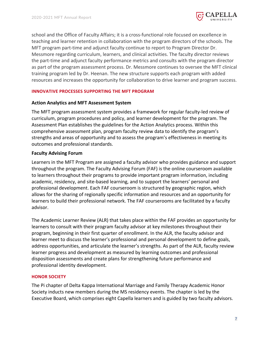

school and the Office of Faculty Affairs; it is a cross-functional role focused on excellence in teaching and learner retention in collaboration with the program directors of the schools. The MFT program part-time and adjunct faculty continue to report to Program Director Dr. Messmore regarding curriculum, learners, and clinical activities. The faculty director reviews the part-time and adjunct faculty performance metrics and consults with the program director as part of the program assessment process. Dr. Messmore continues to oversee the MFT clinical training program led by Dr. Heenan. The new structure supports each program with added resources and increases the opportunity for collaboration to drive learner and program success.

# <span id="page-6-0"></span>**INNOVATIVE PROCESSES SUPPORTING THE MFT PROGRAM**

# <span id="page-6-1"></span>**Action Analytics and MFT Assessment System**

The MFT program assessment system provides a framework for regular faculty-led review of curriculum, program procedures and policy, and learner development for the program. The Assessment Plan establishes the guidelines for the Action Analytics process. Within this comprehensive assessment plan, program faculty review data to identify the program's strengths and areas of opportunity and to assess the program's effectiveness in meeting its outcomes and professional standards.

# <span id="page-6-2"></span>**Faculty Advising Forum**

Learners in the MFT Program are assigned a faculty advisor who provides guidance and support throughout the program. The Faculty Advising Forum (FAF) is the online courseroom available to learners throughout their programs to provide important program information, including academic, residency, and site-based learning, and to support the learners' personal and professional development. Each FAF courseroom is structured by geographic region, which allows for the sharing of regionally specific information and resources and an opportunity for learners to build their professional network. The FAF courserooms are facilitated by a faculty advisor.

The Academic Learner Review (ALR) that takes place within the FAF provides an opportunity for learners to consult with their program faculty advisor at key milestones throughout their program, beginning in their first quarter of enrollment. In the ALR, the faculty advisor and learner meet to discuss the learner's professional and personal development to define goals, address opportunities, and articulate the learner's strengths. As part of the ALR, faculty review learner progress and development as measured by learning outcomes and professional disposition assessments and create plans for strengthening future performance and professional identity development.

#### <span id="page-6-3"></span>**HONOR SOCIETY**

The Pi chapter of Delta Kappa International Marriage and Family Therapy Academic Honor Society inducts new members during the MS residency events. The chapter is led by the Executive Board, which comprises eight Capella learners and is guided by two faculty advisors.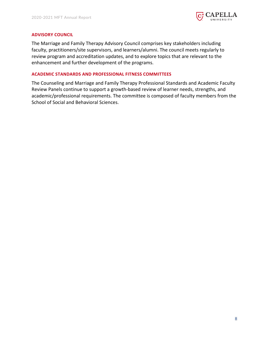

#### <span id="page-7-0"></span>**ADVISORY COUNCIL**

The Marriage and Family Therapy Advisory Council comprises key stakeholders including faculty, practitioners/site supervisors, and learners/alumni. The council meets regularly to review program and accreditation updates, and to explore topics that are relevant to the enhancement and further development of the programs.

# <span id="page-7-1"></span>**ACADEMIC STANDARDS AND PROFESSIONAL FITNESS COMMITTEES**

The Counseling and Marriage and Family Therapy Professional Standards and Academic Faculty Review Panels continue to support a growth-based review of learner needs, strengths, and academic/professional requirements. The committee is composed of faculty members from the School of Social and Behavioral Sciences.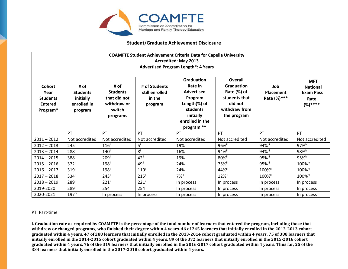

# **Student/Graduate Achievement Disclosure**

| <b>COAMFTE Student Achievement Criteria Data for Capella University</b><br><b>Accredited: May 2013</b><br><b>Advertised Program Length*: 4 Years</b> |                                                                |                                                                              |                                                      |                                                                                                                                        |                                                                                                         |                                        |                                                                       |
|------------------------------------------------------------------------------------------------------------------------------------------------------|----------------------------------------------------------------|------------------------------------------------------------------------------|------------------------------------------------------|----------------------------------------------------------------------------------------------------------------------------------------|---------------------------------------------------------------------------------------------------------|----------------------------------------|-----------------------------------------------------------------------|
| Cohort<br>Year<br><b>Students</b><br><b>Entered</b><br>Program*                                                                                      | # of<br><b>Students</b><br>initially<br>enrolled in<br>program | # of<br><b>Students</b><br>that did not<br>withdraw or<br>switch<br>programs | # of Students<br>still enrolled<br>in the<br>program | <b>Graduation</b><br>Rate in<br><b>Advertised</b><br>Program<br>Length(%) of<br>students<br>initially<br>enrolled in the<br>program ** | Overall<br><b>Graduation</b><br>Rate (%) of<br>students that<br>did not<br>withdraw from<br>the program | Job<br><b>Placement</b><br>Rate (%)*** | <b>MFT</b><br><b>National</b><br><b>Exam Pass</b><br>Rate<br>$(%)***$ |
|                                                                                                                                                      | PT                                                             | PT                                                                           | PT                                                   | PT                                                                                                                                     | PT                                                                                                      | PT                                     | PT                                                                    |
| $2011 - 2012$                                                                                                                                        | Not accredited                                                 | Not accredited                                                               | Not accredited                                       | Not accredited                                                                                                                         | Not accredited                                                                                          | Not accredited                         | Not accredited                                                        |
| $2012 - 2013$                                                                                                                                        | $245^{\mathrm{i}}$                                             | $116$ <sup>ii</sup>                                                          | $5^{ii}$                                             | 19%i                                                                                                                                   | 96%ii                                                                                                   | 94%iii                                 | 97%iv                                                                 |
| $2013 - 2014$                                                                                                                                        | 288 <sup>i</sup>                                               | $140$ <sup>ii</sup>                                                          | 8ii                                                  | $16\%$                                                                                                                                 | 94%ii                                                                                                   | 94%iii                                 | 98%iv                                                                 |
| $2014 - 2015$                                                                                                                                        | 388 <sup>i</sup>                                               | 209ii                                                                        | $42$ <sup>ii</sup>                                   | 19%i                                                                                                                                   | 80%ii                                                                                                   | 95%iii                                 | 95%iv                                                                 |
| $2015 - 2016$                                                                                                                                        | 372 <sup>i</sup>                                               | 198 <sup>ii</sup>                                                            | 49 <sup>ii</sup>                                     | 24%i                                                                                                                                   | 75%ii                                                                                                   | 95%iii                                 | 100%iv                                                                |
| $2016 - 2017$                                                                                                                                        | 319 <sup>i</sup>                                               | 198 <sup>ii</sup>                                                            | $110$ <sup>ii</sup>                                  | 24%                                                                                                                                    | 44%ii                                                                                                   | 100%iii                                | 100%iv                                                                |
| $2017 - 2018$                                                                                                                                        | 334 <sup>1</sup>                                               | $243$ <sup>ii</sup>                                                          | $215$ <sup>ii</sup>                                  | $7\%$ <sup>i</sup>                                                                                                                     | 12% ii                                                                                                  | 100%iii                                | 100%iv                                                                |
| $2018 - 2019$                                                                                                                                        | $289^{\mathrm{i}}$                                             | $221$ <sup>ii</sup>                                                          | $221^{\text{ii}}$                                    | In process                                                                                                                             | In process                                                                                              | In process                             | In process                                                            |
| 2019-2020                                                                                                                                            | $289^{\mathrm{i}}$                                             | 254                                                                          | 254                                                  | In process                                                                                                                             | In process                                                                                              | In process                             | In process                                                            |
| 2020-2021                                                                                                                                            | 197 <sup>v</sup>                                               | In process                                                                   | In process                                           | In process                                                                                                                             | In process                                                                                              | In process                             | In process                                                            |

#### PT=Part-time

**i. Graduation rate as required by COAMFTE is the percentage of the total number of learners that entered the program, including those that withdrew or changed programs, who finished their degree within 4 years. 46 of 245 learners that initially enrolled in the 2012-2013 cohort graduated within 4 years. 47 of 288 learners that initially enrolled in the 2013-2014 cohort graduated within 4 years. 75 of 388 learners that initially enrolled in the 2014-2015 cohort graduated within 4 years. 89 of the 372 learners that initially enrolled in the 2015-2016 cohort graduated within 4 years. 76 of the 319 learners that initially enrolled in the 2016-2017 cohort graduated within 4 years. Thus far, 25 of the 334 learners that initially enrolled in the 2017-2018 cohort graduated within 4 years.**